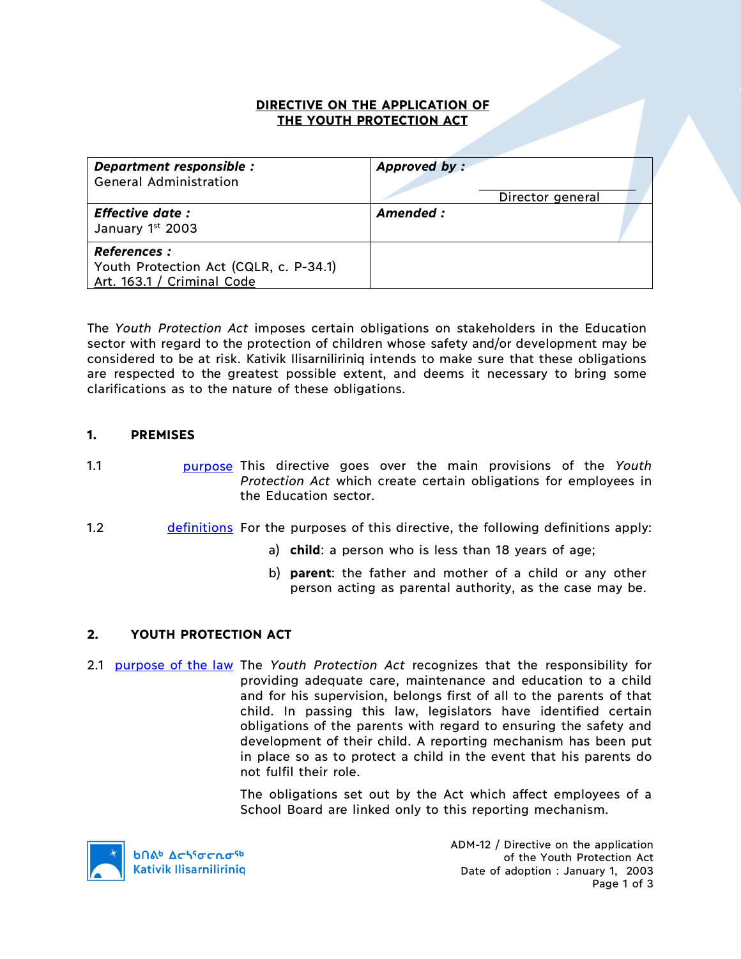### **DIRECTIVE ON THE APPLICATION OF THE YOUTH PROTECTION ACT**

| Department responsible :<br><b>General Administration</b>                                  | Approved by:<br>Director general |  |
|--------------------------------------------------------------------------------------------|----------------------------------|--|
| <b>Effective date:</b><br>January 1st 2003                                                 | Amended :                        |  |
| <b>References:</b><br>Youth Protection Act (CQLR, c. P-34.1)<br>Art. 163.1 / Criminal Code |                                  |  |

The *Youth Protection Act* imposes certain obligations on stakeholders in the Education sector with regard to the protection of children whose safety and/or development may be considered to be at risk. Kativik Ilisarniliriniq intends to make sure that these obligations are respected to the greatest possible extent, and deems it necessary to bring some clarifications as to the nature of these obligations.

# **1. PREMISES**

1.1 purpose This directive goes over the main provisions of the *Youth Protection Act* which create certain obligations for employees in the Education sector.

- 1.2 definitions For the purposes of this directive, the following definitions apply:
	- a) **child**: a person who is less than 18 years of age;
	- b) **parent**: the father and mother of a child or any other person acting as parental authority, as the case may be.

### **2. YOUTH PROTECTION ACT**

2.1 purpose of the law The *Youth Protection Act* recognizes that the responsibility for providing adequate care, maintenance and education to a child and for his supervision, belongs first of all to the parents of that child. In passing this law, legislators have identified certain obligations of the parents with regard to ensuring the safety and development of their child. A reporting mechanism has been put in place so as to protect a child in the event that his parents do not fulfil their role.

> The obligations set out by the Act which affect employees of a School Board are linked only to this reporting mechanism.



ADM-12 / Directive on the application of the Youth Protection Act Date of adoption : January 1, 2003 Page 1 of 3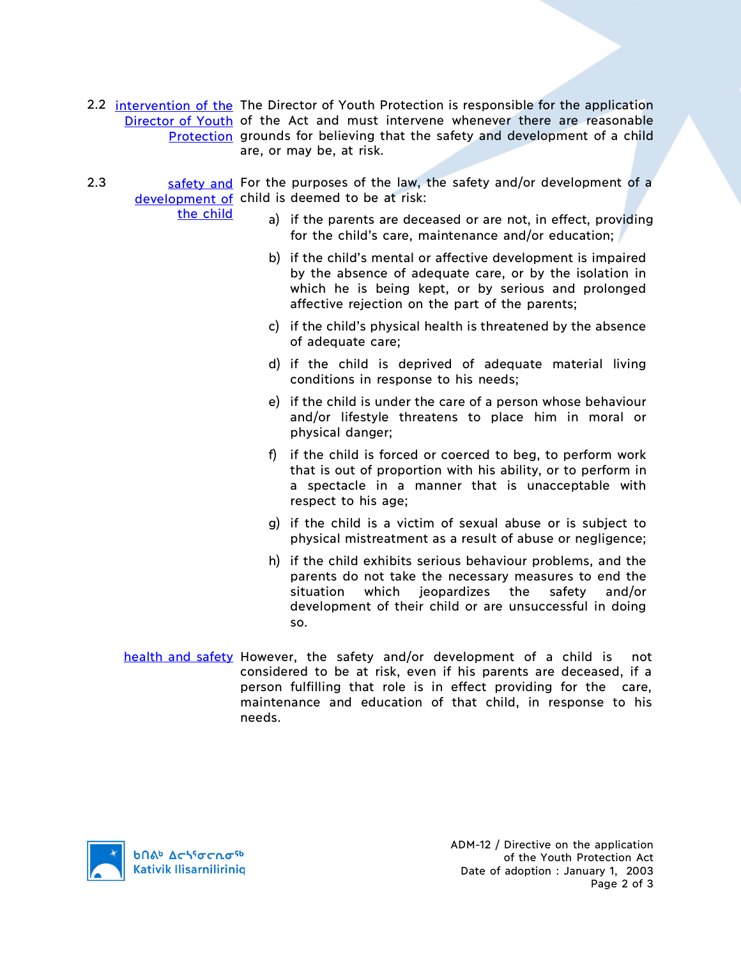- 2.2 intervention of the The Director of Youth Protection is responsible for the application Director of Youth of the Act and must intervene whenever there are reasonable Protection grounds for believing that the safety and development of a child are, or may be, at risk.
- 2.3 safety and For the purposes of the law, the safety and/or development of a development of child is deemed to be at risk:
	- the child
- a) if the parents are deceased or are not, in effect, providing for the child's care, maintenance and/or education;
- b) if the child's mental or affective development is impaired by the absence of adequate care, or by the isolation in which he is being kept, or by serious and prolonged affective rejection on the part of the parents;
- c) if the child's physical health is threatened by the absence of adequate care;
- d) if the child is deprived of adequate material living conditions in response to his needs;
- e) if the child is under the care of a person whose behaviour and/or lifestyle threatens to place him in moral or physical danger;
- f) if the child is forced or coerced to beg, to perform work that is out of proportion with his ability, or to perform in a spectacle in a manner that is unacceptable with respect to his age;
- g) if the child is a victim of sexual abuse or is subject to physical mistreatment as a result of abuse or negligence;
- h) if the child exhibits serious behaviour problems, and the parents do not take the necessary measures to end the situation which jeopardizes the safety and/or development of their child or are unsuccessful in doing so.
- health and safety However, the safety and/or development of a child is not considered to be at risk, even if his parents are deceased, if a person fulfilling that role is in effect providing for the care, maintenance and education of that child, in response to his needs.